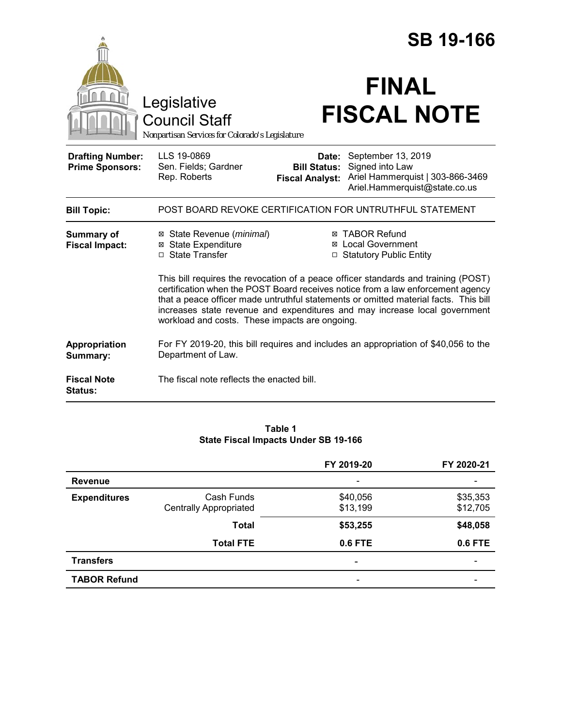|                                                   |                                                                                                                                                                                                                                                                                                                                                                                               | <b>SB 19-166</b>                                       |                                                                                                            |  |
|---------------------------------------------------|-----------------------------------------------------------------------------------------------------------------------------------------------------------------------------------------------------------------------------------------------------------------------------------------------------------------------------------------------------------------------------------------------|--------------------------------------------------------|------------------------------------------------------------------------------------------------------------|--|
|                                                   | Legislative<br><b>Council Staff</b><br>Nonpartisan Services for Colorado's Legislature                                                                                                                                                                                                                                                                                                        |                                                        | <b>FINAL</b><br><b>FISCAL NOTE</b>                                                                         |  |
| <b>Drafting Number:</b><br><b>Prime Sponsors:</b> | LLS 19-0869<br>Sen. Fields; Gardner<br>Rep. Roberts                                                                                                                                                                                                                                                                                                                                           | Date:<br><b>Bill Status:</b><br><b>Fiscal Analyst:</b> | September 13, 2019<br>Signed into Law<br>Ariel Hammerquist   303-866-3469<br>Ariel.Hammerquist@state.co.us |  |
| <b>Bill Topic:</b>                                |                                                                                                                                                                                                                                                                                                                                                                                               |                                                        | POST BOARD REVOKE CERTIFICATION FOR UNTRUTHFUL STATEMENT                                                   |  |
| <b>Summary of</b><br><b>Fiscal Impact:</b>        | ⊠ State Revenue ( <i>minimal</i> )<br><b>State Expenditure</b><br>⊠<br>□ State Transfer                                                                                                                                                                                                                                                                                                       |                                                        | ⊠ TABOR Refund<br>⊠ Local Government<br>□ Statutory Public Entity                                          |  |
|                                                   | This bill requires the revocation of a peace officer standards and training (POST)<br>certification when the POST Board receives notice from a law enforcement agency<br>that a peace officer made untruthful statements or omitted material facts. This bill<br>increases state revenue and expenditures and may increase local government<br>workload and costs. These impacts are ongoing. |                                                        |                                                                                                            |  |
| Appropriation<br>Summary:                         | Department of Law.                                                                                                                                                                                                                                                                                                                                                                            |                                                        | For FY 2019-20, this bill requires and includes an appropriation of \$40,056 to the                        |  |
| <b>Fiscal Note</b><br><b>Status:</b>              | The fiscal note reflects the enacted bill.                                                                                                                                                                                                                                                                                                                                                    |                                                        |                                                                                                            |  |

#### **Table 1 State Fiscal Impacts Under SB 19-166**

|                     |                                             | FY 2019-20               | FY 2020-21                   |
|---------------------|---------------------------------------------|--------------------------|------------------------------|
| <b>Revenue</b>      |                                             | $\overline{\phantom{0}}$ |                              |
| <b>Expenditures</b> | Cash Funds<br><b>Centrally Appropriated</b> | \$40,056<br>\$13,199     | \$35,353<br>\$12,705         |
|                     | <b>Total</b>                                | \$53,255                 | \$48,058                     |
|                     | <b>Total FTE</b>                            | 0.6 FTE                  | 0.6 FTE                      |
| <b>Transfers</b>    |                                             | $\overline{\phantom{a}}$ | $\qquad \qquad \blacksquare$ |
| <b>TABOR Refund</b> |                                             | $\overline{\phantom{a}}$ |                              |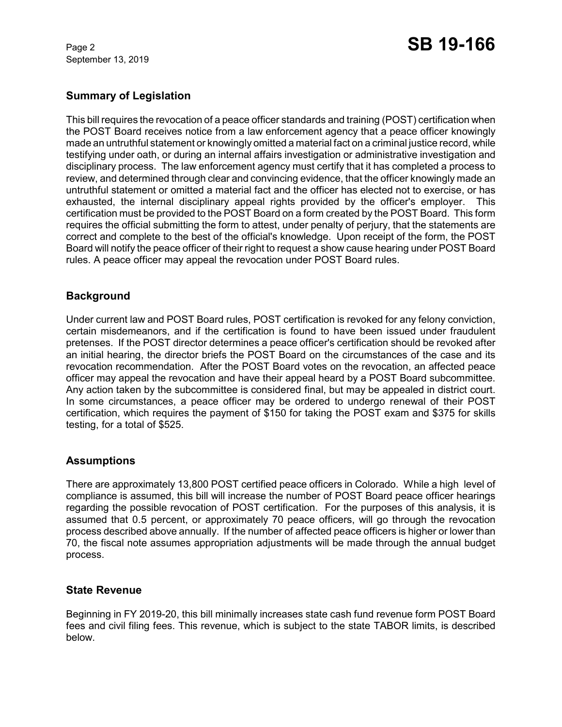September 13, 2019

# Page 2 **SB 19-166**

# **Summary of Legislation**

This bill requires the revocation of a peace officer standards and training (POST) certification when the POST Board receives notice from a law enforcement agency that a peace officer knowingly made an untruthful statement or knowingly omitted a material fact on a criminal justice record, while testifying under oath, or during an internal affairs investigation or administrative investigation and disciplinary process. The law enforcement agency must certify that it has completed a process to review, and determined through clear and convincing evidence, that the officer knowingly made an untruthful statement or omitted a material fact and the officer has elected not to exercise, or has exhausted, the internal disciplinary appeal rights provided by the officer's employer. This certification must be provided to the POST Board on a form created by the POST Board. This form requires the official submitting the form to attest, under penalty of perjury, that the statements are correct and complete to the best of the official's knowledge. Upon receipt of the form, the POST Board will notify the peace officer of their right to request a show cause hearing under POST Board rules. A peace officer may appeal the revocation under POST Board rules.

## **Background**

Under current law and POST Board rules, POST certification is revoked for any felony conviction, certain misdemeanors, and if the certification is found to have been issued under fraudulent pretenses. If the POST director determines a peace officer's certification should be revoked after an initial hearing, the director briefs the POST Board on the circumstances of the case and its revocation recommendation. After the POST Board votes on the revocation, an affected peace officer may appeal the revocation and have their appeal heard by a POST Board subcommittee. Any action taken by the subcommittee is considered final, but may be appealed in district court. In some circumstances, a peace officer may be ordered to undergo renewal of their POST certification, which requires the payment of \$150 for taking the POST exam and \$375 for skills testing, for a total of \$525.

## **Assumptions**

There are approximately 13,800 POST certified peace officers in Colorado. While a high level of compliance is assumed, this bill will increase the number of POST Board peace officer hearings regarding the possible revocation of POST certification. For the purposes of this analysis, it is assumed that 0.5 percent, or approximately 70 peace officers, will go through the revocation process described above annually. If the number of affected peace officers is higher or lower than 70, the fiscal note assumes appropriation adjustments will be made through the annual budget process.

## **State Revenue**

Beginning in FY 2019-20, this bill minimally increases state cash fund revenue form POST Board fees and civil filing fees. This revenue, which is subject to the state TABOR limits, is described below.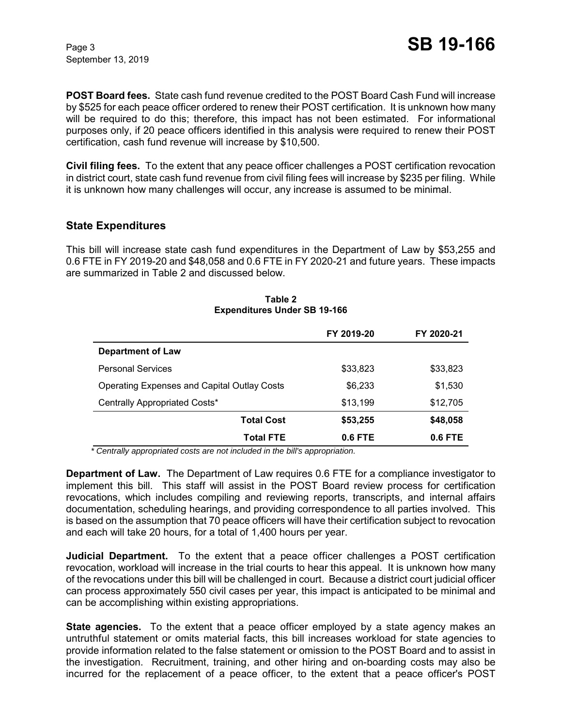September 13, 2019

**POST Board fees.** State cash fund revenue credited to the POST Board Cash Fund will increase by \$525 for each peace officer ordered to renew their POST certification. It is unknown how many will be required to do this; therefore, this impact has not been estimated. For informational purposes only, if 20 peace officers identified in this analysis were required to renew their POST certification, cash fund revenue will increase by \$10,500.

**Civil filing fees.** To the extent that any peace officer challenges a POST certification revocation in district court, state cash fund revenue from civil filing fees will increase by \$235 per filing. While it is unknown how many challenges will occur, any increase is assumed to be minimal.

## **State Expenditures**

This bill will increase state cash fund expenditures in the Department of Law by \$53,255 and 0.6 FTE in FY 2019-20 and \$48,058 and 0.6 FTE in FY 2020-21 and future years. These impacts are summarized in Table 2 and discussed below.

|                                                    | FY 2019-20 | FY 2020-21 |
|----------------------------------------------------|------------|------------|
| <b>Department of Law</b>                           |            |            |
| <b>Personal Services</b>                           | \$33,823   | \$33,823   |
| <b>Operating Expenses and Capital Outlay Costs</b> | \$6,233    | \$1,530    |
| Centrally Appropriated Costs*                      | \$13,199   | \$12,705   |
| <b>Total Cost</b>                                  | \$53,255   | \$48,058   |
| Total FTE                                          | 0.6 FTE    | 0.6 FTE    |

#### **Table 2 Expenditures Under SB 19-166**

 *\* Centrally appropriated costs are not included in the bill's appropriation.*

**Department of Law.** The Department of Law requires 0.6 FTE for a compliance investigator to implement this bill. This staff will assist in the POST Board review process for certification revocations, which includes compiling and reviewing reports, transcripts, and internal affairs documentation, scheduling hearings, and providing correspondence to all parties involved. This is based on the assumption that 70 peace officers will have their certification subject to revocation and each will take 20 hours, for a total of 1,400 hours per year.

**Judicial Department.** To the extent that a peace officer challenges a POST certification revocation, workload will increase in the trial courts to hear this appeal. It is unknown how many of the revocations under this bill will be challenged in court. Because a district court judicial officer can process approximately 550 civil cases per year, this impact is anticipated to be minimal and can be accomplishing within existing appropriations.

**State agencies.** To the extent that a peace officer employed by a state agency makes an untruthful statement or omits material facts, this bill increases workload for state agencies to provide information related to the false statement or omission to the POST Board and to assist in the investigation. Recruitment, training, and other hiring and on-boarding costs may also be incurred for the replacement of a peace officer, to the extent that a peace officer's POST